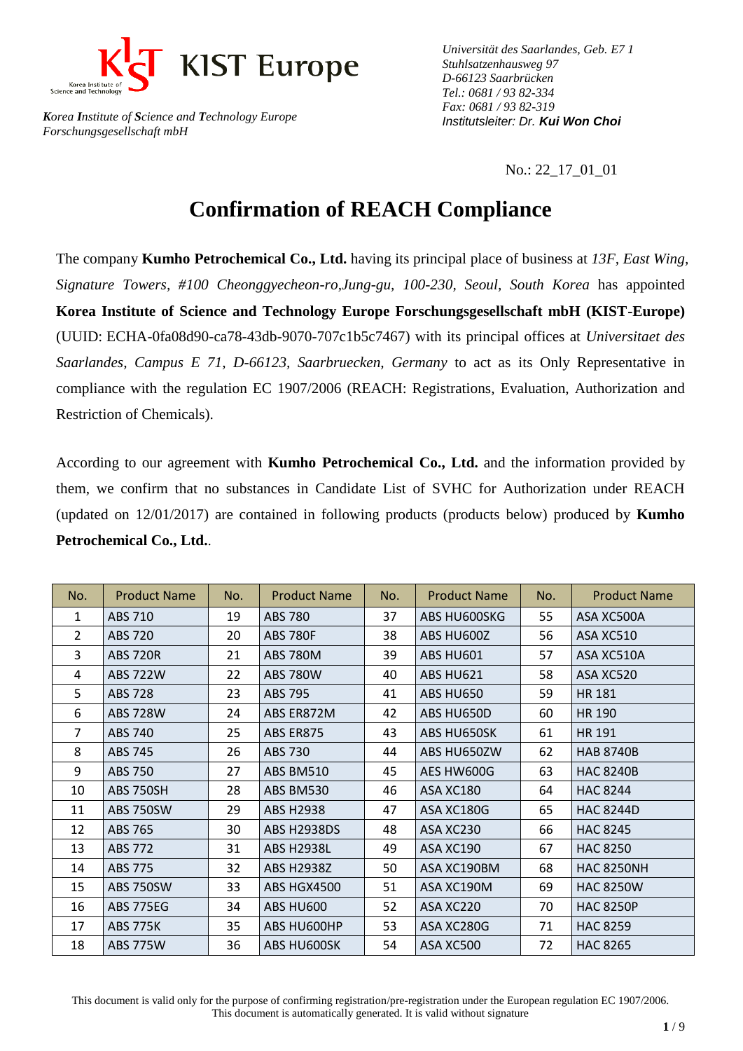

*Universität des Saarlandes, Geb. E7 1 Stuhlsatzenhausweg 97 D-66123 Saarbrücken Tel.: 0681 / 93 82-334 Fax: 0681 / 93 82-319 Institutsleiter: Dr. Kui Won Choi*

No.: 22\_17\_01\_01

## **Confirmation of REACH Compliance**

The company **Kumho Petrochemical Co., Ltd.** having its principal place of business at *13F, East Wing, Signature Towers, #100 Cheonggyecheon-ro,Jung-gu, 100-230, Seoul, South Korea* has appointed **Korea Institute of Science and Technology Europe Forschungsgesellschaft mbH (KIST-Europe)** (UUID: ECHA-0fa08d90-ca78-43db-9070-707c1b5c7467) with its principal offices at *Universitaet des Saarlandes, Campus E 71, D-66123, Saarbruecken, Germany* to act as its Only Representative in compliance with the regulation EC 1907/2006 (REACH: Registrations, Evaluation, Authorization and Restriction of Chemicals).

According to our agreement with **Kumho Petrochemical Co., Ltd.** and the information provided by them, we confirm that no substances in Candidate List of SVHC for Authorization under REACH (updated on 12/01/2017) are contained in following products (products below) produced by **Kumho Petrochemical Co., Ltd.**.

| No.            | <b>Product Name</b> | No. | <b>Product Name</b> | No. | <b>Product Name</b> | No. | <b>Product Name</b> |
|----------------|---------------------|-----|---------------------|-----|---------------------|-----|---------------------|
| $\mathbf{1}$   | ABS 710             | 19  | <b>ABS 780</b>      | 37  | ABS HU600SKG        | 55  | ASA XC500A          |
| $\overline{2}$ | <b>ABS 720</b>      | 20  | <b>ABS 780F</b>     | 38  | ABS HU600Z          | 56  | ASA XC510           |
| 3              | <b>ABS 720R</b>     | 21  | <b>ABS 780M</b>     | 39  | ABS HU601           | 57  | ASA XC510A          |
| 4              | <b>ABS 722W</b>     | 22  | <b>ABS 780W</b>     | 40  | ABS HU621           | 58  | ASA XC520           |
| 5              | <b>ABS 728</b>      | 23  | ABS 795             | 41  | ABS HU650           | 59  | <b>HR 181</b>       |
| 6              | <b>ABS 728W</b>     | 24  | ABS ER872M          | 42  | ABS HU650D          | 60  | HR 190              |
| $\overline{7}$ | <b>ABS 740</b>      | 25  | ABS ER875           | 43  | ABS HU650SK         | 61  | HR 191              |
| 8              | ABS 745             | 26  | ABS 730             | 44  | ABS HU650ZW         | 62  | <b>HAB 8740B</b>    |
| 9              | <b>ABS 750</b>      | 27  | <b>ABS BM510</b>    | 45  | AES HW600G          | 63  | <b>HAC 8240B</b>    |
| 10             | <b>ABS 750SH</b>    | 28  | ABS BM530           | 46  | ASA XC180           | 64  | <b>HAC 8244</b>     |
| 11             | <b>ABS 750SW</b>    | 29  | <b>ABS H2938</b>    | 47  | ASA XC180G          | 65  | <b>HAC 8244D</b>    |
| 12             | ABS 765             | 30  | <b>ABS H2938DS</b>  | 48  | ASA XC230           | 66  | <b>HAC 8245</b>     |
| 13             | ABS 772             | 31  | <b>ABS H2938L</b>   | 49  | ASA XC190           | 67  | <b>HAC 8250</b>     |
| 14             | <b>ABS 775</b>      | 32  | <b>ABS H2938Z</b>   | 50  | ASA XC190BM         | 68  | <b>HAC 8250NH</b>   |
| 15             | <b>ABS 750SW</b>    | 33  | ABS HGX4500         | 51  | ASA XC190M          | 69  | <b>HAC 8250W</b>    |
| 16             | <b>ABS 775EG</b>    | 34  | ABS HU600           | 52  | ASA XC220           | 70  | <b>HAC 8250P</b>    |
| 17             | <b>ABS 775K</b>     | 35  | ABS HU600HP         | 53  | ASA XC280G          | 71  | <b>HAC 8259</b>     |
| 18             | <b>ABS 775W</b>     | 36  | ABS HU600SK         | 54  | ASA XC500           | 72  | <b>HAC 8265</b>     |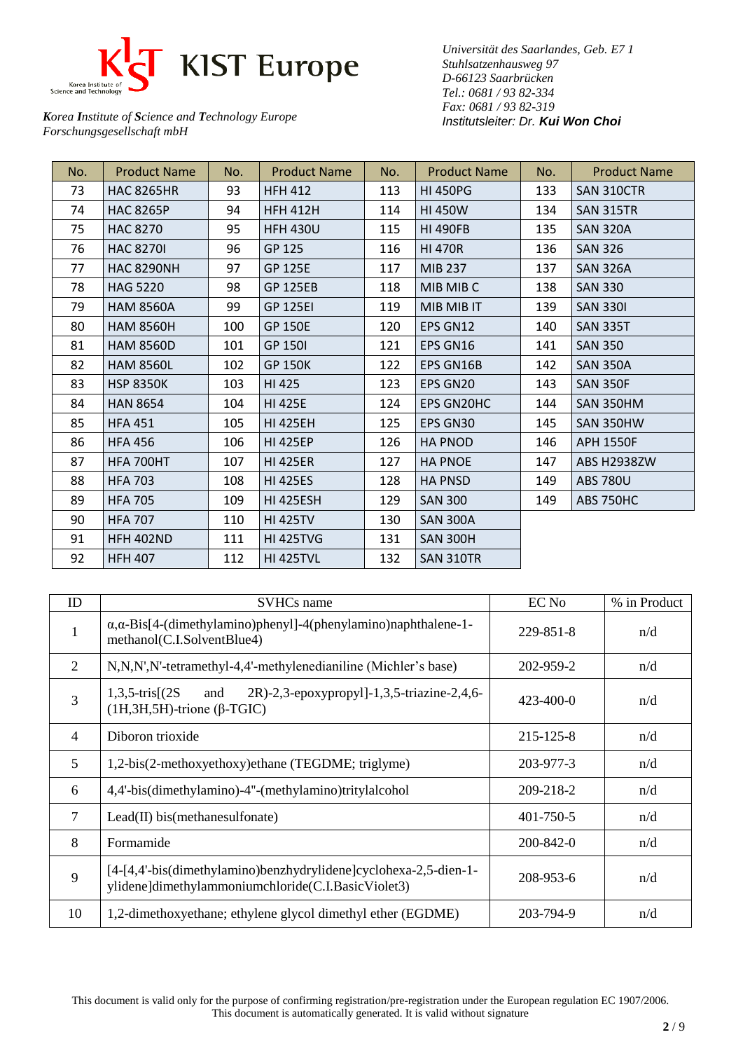

*Universität des Saarlandes, Geb. E7 1 Stuhlsatzenhausweg 97 D-66123 Saarbrücken Tel.: 0681 / 93 82-334 Fax: 0681 / 93 82-319 Institutsleiter: Dr. Kui Won Choi*

| No. | <b>Product Name</b> | No. | <b>Product Name</b> | No. | <b>Product Name</b> | No. | <b>Product Name</b> |
|-----|---------------------|-----|---------------------|-----|---------------------|-----|---------------------|
| 73  | <b>HAC 8265HR</b>   | 93  | <b>HFH 412</b>      | 113 | <b>HI 450PG</b>     | 133 | SAN 310CTR          |
| 74  | <b>HAC 8265P</b>    | 94  | <b>HFH 412H</b>     | 114 | <b>HI 450W</b>      | 134 | <b>SAN 315TR</b>    |
| 75  | <b>HAC 8270</b>     | 95  | <b>HFH 430U</b>     | 115 | <b>HI 490FB</b>     | 135 | <b>SAN 320A</b>     |
| 76  | <b>HAC 8270I</b>    | 96  | GP 125              | 116 | <b>HI 470R</b>      | 136 | <b>SAN 326</b>      |
| 77  | <b>HAC 8290NH</b>   | 97  | <b>GP 125E</b>      | 117 | MIB 237             | 137 | <b>SAN 326A</b>     |
| 78  | <b>HAG 5220</b>     | 98  | <b>GP 125EB</b>     | 118 | MIB MIB C           | 138 | <b>SAN 330</b>      |
| 79  | <b>HAM 8560A</b>    | 99  | <b>GP 125EI</b>     | 119 | MIB MIB IT          | 139 | <b>SAN 3301</b>     |
| 80  | <b>HAM 8560H</b>    | 100 | <b>GP 150E</b>      | 120 | EPS GN12            | 140 | <b>SAN 335T</b>     |
| 81  | <b>HAM 8560D</b>    | 101 | <b>GP 1501</b>      | 121 | EPS GN16            | 141 | <b>SAN 350</b>      |
| 82  | <b>HAM 8560L</b>    | 102 | <b>GP 150K</b>      | 122 | <b>EPS GN16B</b>    | 142 | <b>SAN 350A</b>     |
| 83  | <b>HSP 8350K</b>    | 103 | HI 425              | 123 | EPS GN20            | 143 | <b>SAN 350F</b>     |
| 84  | <b>HAN 8654</b>     | 104 | <b>HI 425E</b>      | 124 | <b>EPS GN20HC</b>   | 144 | SAN 350HM           |
| 85  | <b>HFA 451</b>      | 105 | <b>HI 425EH</b>     | 125 | EPS GN30            | 145 | SAN 350HW           |
| 86  | <b>HFA 456</b>      | 106 | <b>HI 425EP</b>     | 126 | <b>HA PNOD</b>      | 146 | <b>APH 1550F</b>    |
| 87  | HFA 700HT           | 107 | <b>HI 425ER</b>     | 127 | <b>HA PNOE</b>      | 147 | ABS H2938ZW         |
| 88  | <b>HFA 703</b>      | 108 | <b>HI 425ES</b>     | 128 | <b>HA PNSD</b>      | 149 | <b>ABS 780U</b>     |
| 89  | <b>HFA 705</b>      | 109 | <b>HI 425ESH</b>    | 129 | <b>SAN 300</b>      | 149 | <b>ABS 750HC</b>    |
| 90  | <b>HFA 707</b>      | 110 | <b>HI 425TV</b>     | 130 | <b>SAN 300A</b>     |     |                     |
| 91  | <b>HFH 402ND</b>    | 111 | <b>HI 425TVG</b>    | 131 | <b>SAN 300H</b>     |     |                     |
| 92  | <b>HFH 407</b>      | 112 | <b>HI 425TVL</b>    | 132 | <b>SAN 310TR</b>    |     |                     |

| ID             | <b>SVHCs</b> name                                                                                                      | EC No           | % in Product |
|----------------|------------------------------------------------------------------------------------------------------------------------|-----------------|--------------|
|                | $\alpha$ , $\alpha$ -Bis[4-(dimethylamino)phenyl]-4(phenylamino)naphthalene-1-<br>methanol(C.I.SolventBlue4)           | 229-851-8       | n/d          |
| 2              | N,N,N',N'-tetramethyl-4,4'-methylenedianiline (Michler's base)                                                         | 202-959-2       | n/d          |
| 3              | $1,3,5$ -tris $(2S)$<br>2R)-2,3-epoxypropyl]-1,3,5-triazine-2,4,6-<br>and<br>$(H, 3H, 5H)$ -trione ( $\beta$ -TGIC)    | $423 - 400 - 0$ | n/d          |
| $\overline{4}$ | Diboron trioxide                                                                                                       | 215-125-8       | n/d          |
| 5              | 1,2-bis(2-methoxyethoxy)ethane (TEGDME; triglyme)                                                                      | 203-977-3       | n/d          |
| 6              | 4,4'-bis(dimethylamino)-4"-(methylamino)tritylalcohol                                                                  | 209-218-2       | n/d          |
| $\overline{7}$ | $\text{Lead(II)}$ bis(methanesulfonate)                                                                                | 401-750-5       | n/d          |
| 8              | Formamide                                                                                                              | 200-842-0       | n/d          |
| 9              | [4-[4,4'-bis(dimethylamino)benzhydrylidene]cyclohexa-2,5-dien-1-<br>ylidene]dimethylammoniumchloride(C.I.BasicViolet3) | 208-953-6       | n/d          |
| 10             | 1,2-dimethoxyethane; ethylene glycol dimethyl ether (EGDME)                                                            | 203-794-9       | n/d          |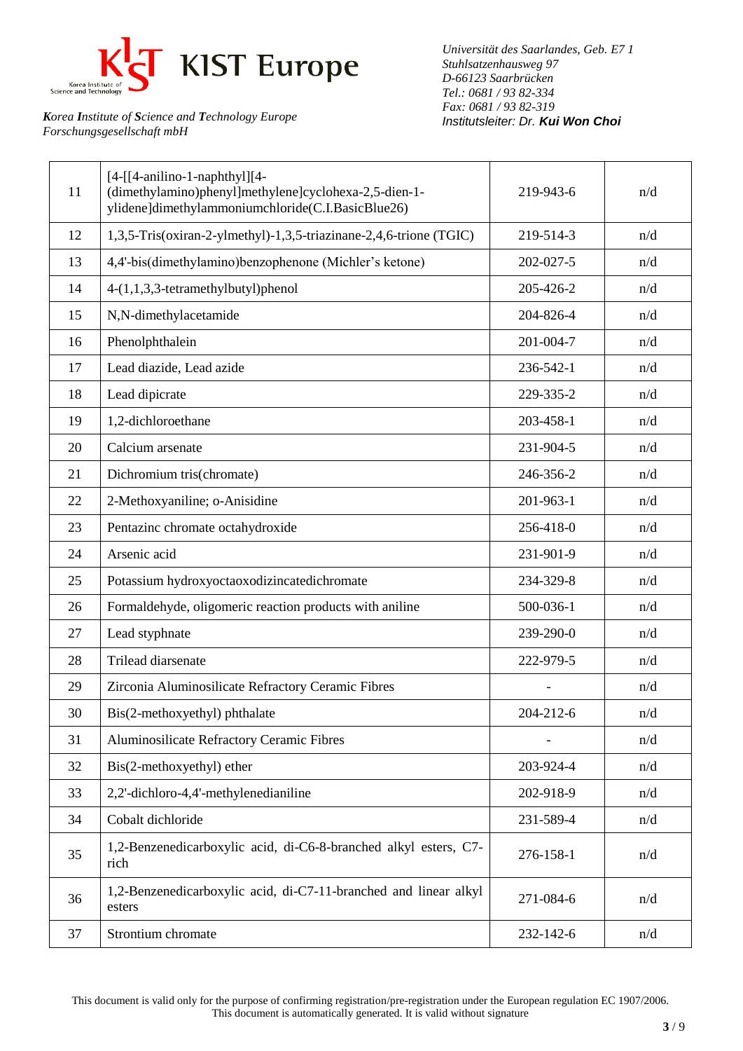

*Universität des Saarlandes, Geb. E7 1 Stuhlsatzenhausweg 97 D-66123 Saarbrücken Tel.: 0681 / 93 82-334 Fax: 0681 / 93 82-319 Institutsleiter: Dr. Kui Won Choi*

| 11 | $[4-[[4-anilino-1-naphthyl]]$<br>(dimethylamino)phenyl]methylene]cyclohexa-2,5-dien-1-<br>ylidene]dimethylammoniumchloride(C.I.BasicBlue26) | 219-943-6 | n/d |
|----|---------------------------------------------------------------------------------------------------------------------------------------------|-----------|-----|
| 12 | 1,3,5-Tris(oxiran-2-ylmethyl)-1,3,5-triazinane-2,4,6-trione (TGIC)                                                                          | 219-514-3 | n/d |
| 13 | 4,4'-bis(dimethylamino)benzophenone (Michler's ketone)                                                                                      | 202-027-5 | n/d |
| 14 | 4-(1,1,3,3-tetramethylbutyl)phenol                                                                                                          | 205-426-2 | n/d |
| 15 | N,N-dimethylacetamide                                                                                                                       | 204-826-4 | n/d |
| 16 | Phenolphthalein                                                                                                                             | 201-004-7 | n/d |
| 17 | Lead diazide, Lead azide                                                                                                                    | 236-542-1 | n/d |
| 18 | Lead dipicrate                                                                                                                              | 229-335-2 | n/d |
| 19 | 1,2-dichloroethane                                                                                                                          | 203-458-1 | n/d |
| 20 | Calcium arsenate                                                                                                                            | 231-904-5 | n/d |
| 21 | Dichromium tris(chromate)                                                                                                                   | 246-356-2 | n/d |
| 22 | 2-Methoxyaniline; o-Anisidine                                                                                                               | 201-963-1 | n/d |
| 23 | Pentazinc chromate octahydroxide                                                                                                            | 256-418-0 | n/d |
| 24 | Arsenic acid                                                                                                                                | 231-901-9 | n/d |
| 25 | Potassium hydroxyoctaoxodizincatedichromate                                                                                                 | 234-329-8 | n/d |
| 26 | Formaldehyde, oligomeric reaction products with aniline                                                                                     | 500-036-1 | n/d |
| 27 | Lead styphnate                                                                                                                              | 239-290-0 | n/d |
| 28 | Trilead diarsenate                                                                                                                          | 222-979-5 | n/d |
| 29 | Zirconia Aluminosilicate Refractory Ceramic Fibres                                                                                          |           | n/d |
| 30 | Bis(2-methoxyethyl) phthalate                                                                                                               | 204-212-6 | n/d |
| 31 | Aluminosilicate Refractory Ceramic Fibres                                                                                                   |           | n/d |
| 32 | Bis(2-methoxyethyl) ether                                                                                                                   | 203-924-4 | n/d |
| 33 | 2,2'-dichloro-4,4'-methylenedianiline                                                                                                       | 202-918-9 | n/d |
| 34 | Cobalt dichloride                                                                                                                           | 231-589-4 | n/d |
| 35 | 1,2-Benzenedicarboxylic acid, di-C6-8-branched alkyl esters, C7-<br>rich                                                                    | 276-158-1 | n/d |
| 36 | 1,2-Benzenedicarboxylic acid, di-C7-11-branched and linear alkyl<br>esters                                                                  | 271-084-6 | n/d |
| 37 | Strontium chromate                                                                                                                          | 232-142-6 | n/d |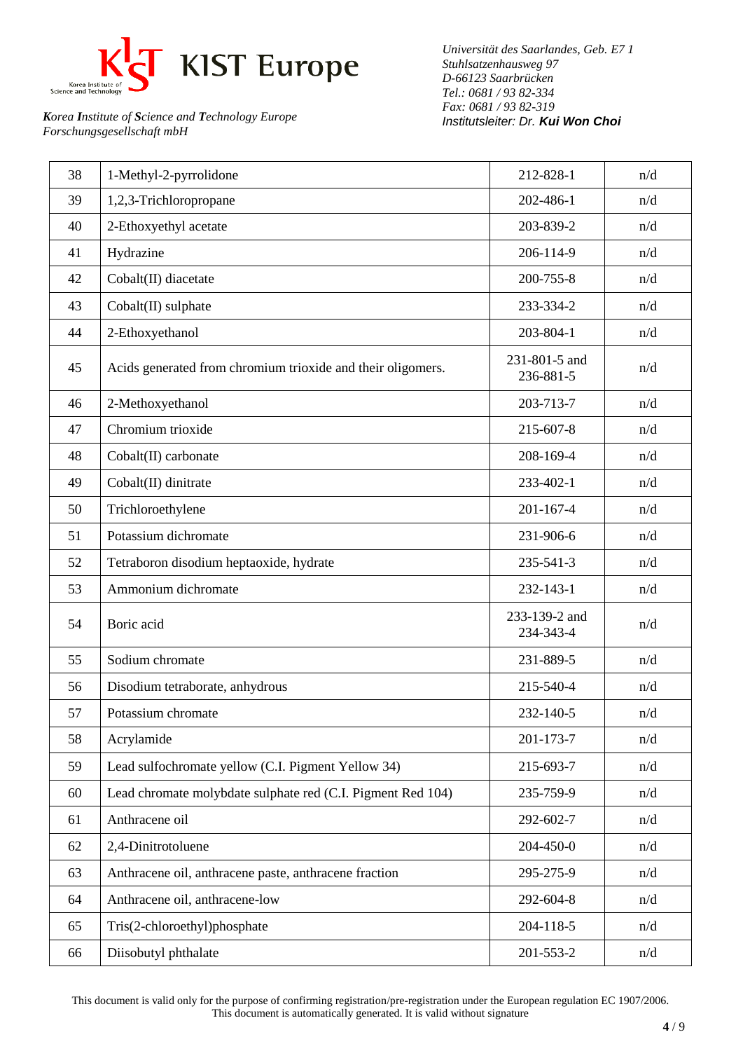

*Universität des Saarlandes, Geb. E7 1 Stuhlsatzenhausweg 97 D-66123 Saarbrücken Tel.: 0681 / 93 82-334 Fax: 0681 / 93 82-319 Institutsleiter: Dr. Kui Won Choi*

| 39<br>1,2,3-Trichloropropane<br>202-486-1<br>n/d<br>40<br>2-Ethoxyethyl acetate<br>203-839-2<br>n/d<br>206-114-9<br>41<br>Hydrazine<br>n/d<br>42<br>Cobalt(II) diacetate<br>200-755-8<br>n/d<br>43<br>Cobalt(II) sulphate<br>233-334-2<br>n/d<br>44<br>2-Ethoxyethanol<br>203-804-1<br>n/d<br>231-801-5 and |  |
|-------------------------------------------------------------------------------------------------------------------------------------------------------------------------------------------------------------------------------------------------------------------------------------------------------------|--|
|                                                                                                                                                                                                                                                                                                             |  |
|                                                                                                                                                                                                                                                                                                             |  |
|                                                                                                                                                                                                                                                                                                             |  |
|                                                                                                                                                                                                                                                                                                             |  |
|                                                                                                                                                                                                                                                                                                             |  |
|                                                                                                                                                                                                                                                                                                             |  |
| 45<br>Acids generated from chromium trioxide and their oligomers.<br>n/d<br>236-881-5                                                                                                                                                                                                                       |  |
| 203-713-7<br>46<br>2-Methoxyethanol<br>n/d                                                                                                                                                                                                                                                                  |  |
| 47<br>Chromium trioxide<br>215-607-8<br>n/d                                                                                                                                                                                                                                                                 |  |
| 48<br>Cobalt(II) carbonate<br>208-169-4<br>n/d                                                                                                                                                                                                                                                              |  |
| 49<br>Cobalt(II) dinitrate<br>233-402-1<br>n/d                                                                                                                                                                                                                                                              |  |
| 50<br>Trichloroethylene<br>201-167-4<br>n/d                                                                                                                                                                                                                                                                 |  |
| Potassium dichromate<br>51<br>231-906-6<br>n/d                                                                                                                                                                                                                                                              |  |
| 52<br>235-541-3<br>Tetraboron disodium heptaoxide, hydrate<br>n/d                                                                                                                                                                                                                                           |  |
| Ammonium dichromate<br>53<br>232-143-1<br>n/d                                                                                                                                                                                                                                                               |  |
| 233-139-2 and<br>54<br>Boric acid<br>n/d<br>234-343-4                                                                                                                                                                                                                                                       |  |
| 55<br>Sodium chromate<br>231-889-5<br>n/d                                                                                                                                                                                                                                                                   |  |
| 56<br>215-540-4<br>Disodium tetraborate, anhydrous<br>n/d                                                                                                                                                                                                                                                   |  |
| 57<br>232-140-5<br>Potassium chromate<br>n/d                                                                                                                                                                                                                                                                |  |
| 58<br>Acrylamide<br>201-173-7<br>n/d                                                                                                                                                                                                                                                                        |  |
| Lead sulfochromate yellow (C.I. Pigment Yellow 34)<br>59<br>215-693-7<br>n/d                                                                                                                                                                                                                                |  |
| Lead chromate molybdate sulphate red (C.I. Pigment Red 104)<br>60<br>235-759-9<br>n/d                                                                                                                                                                                                                       |  |
| Anthracene oil<br>292-602-7<br>61<br>n/d                                                                                                                                                                                                                                                                    |  |
| 2,4-Dinitrotoluene<br>204-450-0<br>62<br>n/d                                                                                                                                                                                                                                                                |  |
| 295-275-9<br>63<br>Anthracene oil, anthracene paste, anthracene fraction<br>n/d                                                                                                                                                                                                                             |  |
| Anthracene oil, anthracene-low<br>292-604-8<br>64<br>n/d                                                                                                                                                                                                                                                    |  |
| 65<br>Tris(2-chloroethyl)phosphate<br>204-118-5<br>n/d                                                                                                                                                                                                                                                      |  |
| Diisobutyl phthalate<br>201-553-2<br>n/d<br>66                                                                                                                                                                                                                                                              |  |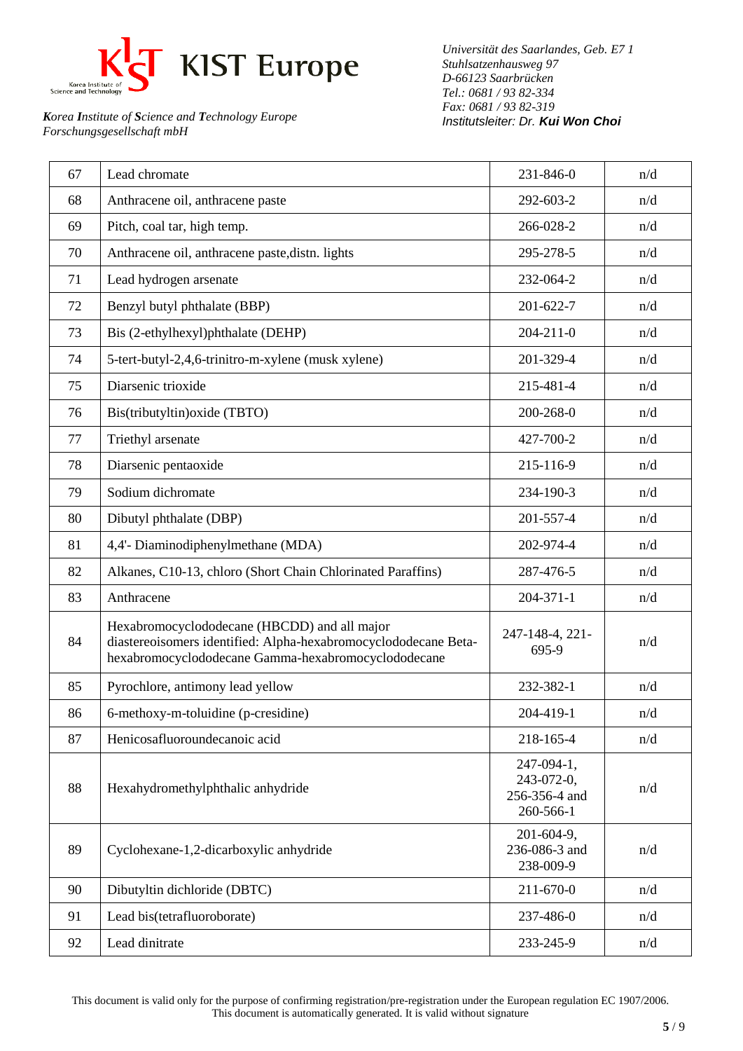

*Universität des Saarlandes, Geb. E7 1 Stuhlsatzenhausweg 97 D-66123 Saarbrücken Tel.: 0681 / 93 82-334 Fax: 0681 / 93 82-319 Institutsleiter: Dr. Kui Won Choi*

| 67 | Lead chromate                                                                                                                                                          | 231-846-0                                              | n/d |
|----|------------------------------------------------------------------------------------------------------------------------------------------------------------------------|--------------------------------------------------------|-----|
| 68 | Anthracene oil, anthracene paste                                                                                                                                       | 292-603-2                                              | n/d |
| 69 | Pitch, coal tar, high temp.                                                                                                                                            | 266-028-2                                              | n/d |
| 70 | Anthracene oil, anthracene paste, distn. lights                                                                                                                        | 295-278-5                                              | n/d |
| 71 | Lead hydrogen arsenate                                                                                                                                                 | 232-064-2                                              | n/d |
| 72 | Benzyl butyl phthalate (BBP)                                                                                                                                           | 201-622-7                                              | n/d |
| 73 | Bis (2-ethylhexyl)phthalate (DEHP)                                                                                                                                     | $204 - 211 - 0$                                        | n/d |
| 74 | 5-tert-butyl-2,4,6-trinitro-m-xylene (musk xylene)                                                                                                                     | 201-329-4                                              | n/d |
| 75 | Diarsenic trioxide                                                                                                                                                     | 215-481-4                                              | n/d |
| 76 | Bis(tributyltin) oxide (TBTO)                                                                                                                                          | 200-268-0                                              | n/d |
| 77 | Triethyl arsenate                                                                                                                                                      | 427-700-2                                              | n/d |
| 78 | Diarsenic pentaoxide                                                                                                                                                   | 215-116-9                                              | n/d |
| 79 | Sodium dichromate                                                                                                                                                      | 234-190-3                                              | n/d |
| 80 | Dibutyl phthalate (DBP)                                                                                                                                                | 201-557-4                                              | n/d |
| 81 | 4,4'- Diaminodiphenylmethane (MDA)                                                                                                                                     | 202-974-4                                              | n/d |
| 82 | Alkanes, C10-13, chloro (Short Chain Chlorinated Paraffins)                                                                                                            | 287-476-5                                              | n/d |
| 83 | Anthracene                                                                                                                                                             | $204 - 371 - 1$                                        | n/d |
| 84 | Hexabromocyclododecane (HBCDD) and all major<br>diastereoisomers identified: Alpha-hexabromocyclododecane Beta-<br>hexabromocyclododecane Gamma-hexabromocyclododecane | 247-148-4, 221-<br>695-9                               | n/d |
| 85 | Pyrochlore, antimony lead yellow                                                                                                                                       | 232-382-1                                              | n/d |
| 86 | 6-methoxy-m-toluidine (p-cresidine)                                                                                                                                    | 204-419-1                                              | n/d |
| 87 | Henicosafluoroundecanoic acid                                                                                                                                          | 218-165-4                                              | n/d |
| 88 | Hexahydromethylphthalic anhydride                                                                                                                                      | 247-094-1,<br>243-072-0,<br>256-356-4 and<br>260-566-1 | n/d |
| 89 | Cyclohexane-1,2-dicarboxylic anhydride                                                                                                                                 | 201-604-9,<br>236-086-3 and<br>238-009-9               | n/d |
| 90 | Dibutyltin dichloride (DBTC)                                                                                                                                           | 211-670-0                                              | n/d |
| 91 | Lead bis(tetrafluoroborate)                                                                                                                                            | 237-486-0                                              | n/d |
| 92 | Lead dinitrate                                                                                                                                                         | 233-245-9                                              | n/d |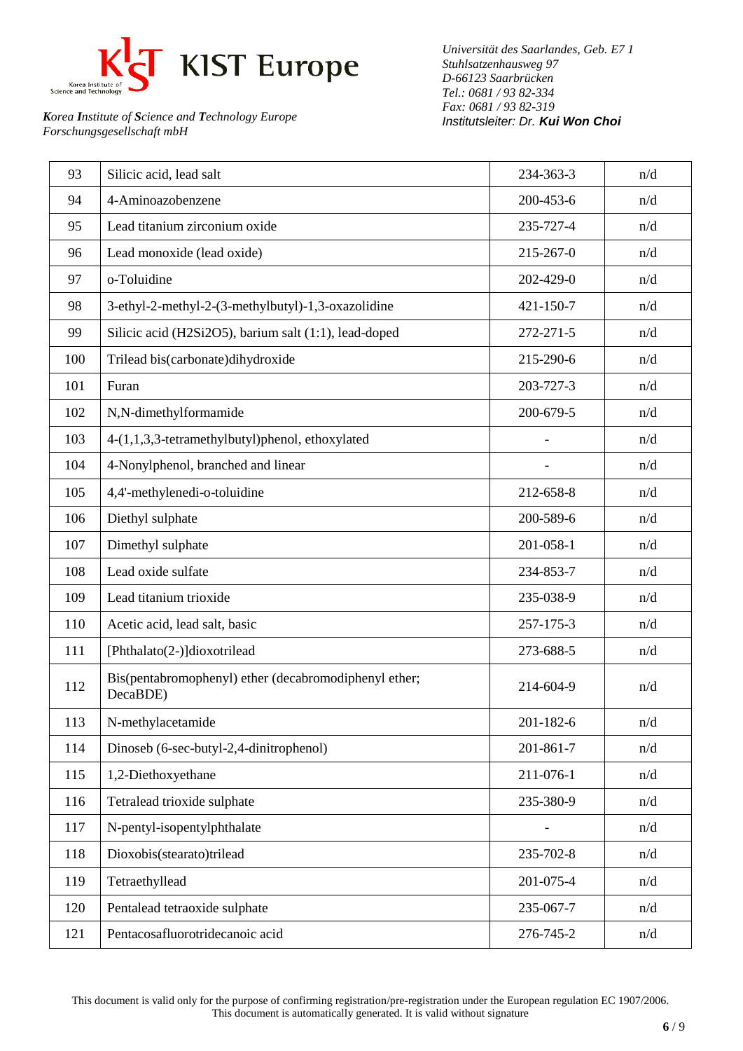

*Universität des Saarlandes, Geb. E7 1 Stuhlsatzenhausweg 97 D-66123 Saarbrücken Tel.: 0681 / 93 82-334 Fax: 0681 / 93 82-319 Institutsleiter: Dr. Kui Won Choi*

| 93  | Silicic acid, lead salt                                           | 234-363-3 | n/d |
|-----|-------------------------------------------------------------------|-----------|-----|
| 94  | 4-Aminoazobenzene                                                 | 200-453-6 | n/d |
| 95  | Lead titanium zirconium oxide                                     | 235-727-4 | n/d |
| 96  | Lead monoxide (lead oxide)                                        | 215-267-0 | n/d |
| 97  | o-Toluidine                                                       | 202-429-0 | n/d |
| 98  | 3-ethyl-2-methyl-2-(3-methylbutyl)-1,3-oxazolidine                | 421-150-7 | n/d |
| 99  | Silicic acid (H2Si2O5), barium salt (1:1), lead-doped             | 272-271-5 | n/d |
| 100 | Trilead bis(carbonate)dihydroxide                                 | 215-290-6 | n/d |
| 101 | Furan                                                             | 203-727-3 | n/d |
| 102 | N,N-dimethylformamide                                             | 200-679-5 | n/d |
| 103 | 4-(1,1,3,3-tetramethylbutyl)phenol, ethoxylated                   |           | n/d |
| 104 | 4-Nonylphenol, branched and linear                                |           | n/d |
| 105 | 4,4'-methylenedi-o-toluidine                                      | 212-658-8 | n/d |
| 106 | Diethyl sulphate                                                  | 200-589-6 | n/d |
| 107 | Dimethyl sulphate                                                 | 201-058-1 | n/d |
| 108 | Lead oxide sulfate                                                | 234-853-7 | n/d |
| 109 | Lead titanium trioxide                                            | 235-038-9 | n/d |
| 110 | Acetic acid, lead salt, basic                                     | 257-175-3 | n/d |
| 111 | [Phthalato(2-)]dioxotrilead                                       | 273-688-5 | n/d |
| 112 | Bis(pentabromophenyl) ether (decabromodiphenyl ether;<br>DecaBDE) | 214-604-9 | n/d |
| 113 | N-methylacetamide                                                 | 201-182-6 | n/d |
| 114 | Dinoseb (6-sec-butyl-2,4-dinitrophenol)                           | 201-861-7 | n/d |
| 115 | 1,2-Diethoxyethane                                                | 211-076-1 | n/d |
| 116 | Tetralead trioxide sulphate                                       | 235-380-9 | n/d |
| 117 | N-pentyl-isopentylphthalate                                       |           | n/d |
| 118 | Dioxobis(stearato)trilead                                         | 235-702-8 | n/d |
| 119 | Tetraethyllead                                                    | 201-075-4 | n/d |
| 120 | Pentalead tetraoxide sulphate                                     | 235-067-7 | n/d |
| 121 | Pentacosafluorotridecanoic acid                                   | 276-745-2 | n/d |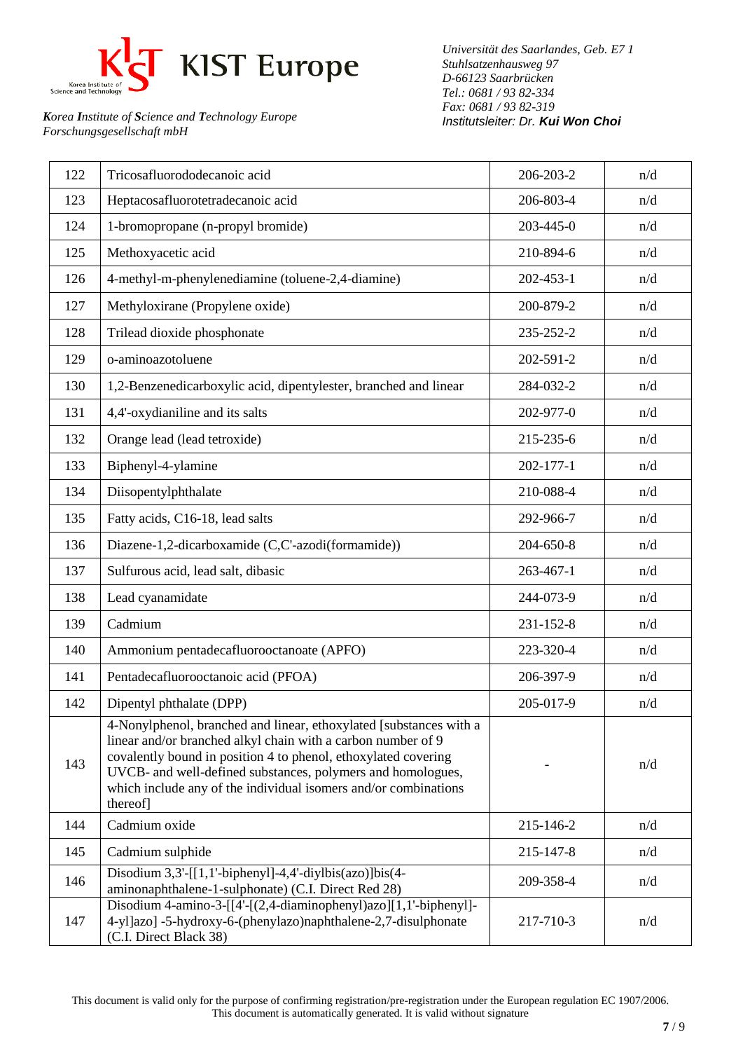

*Universität des Saarlandes, Geb. E7 1 Stuhlsatzenhausweg 97 D-66123 Saarbrücken Tel.: 0681 / 93 82-334 Fax: 0681 / 93 82-319 Institutsleiter: Dr. Kui Won Choi*

| 122 | Tricosafluorododecanoic acid                                                                                                                                                                                                                                                                                                                       | 206-203-2       | n/d |
|-----|----------------------------------------------------------------------------------------------------------------------------------------------------------------------------------------------------------------------------------------------------------------------------------------------------------------------------------------------------|-----------------|-----|
| 123 | Heptacosafluorotetradecanoic acid                                                                                                                                                                                                                                                                                                                  | 206-803-4       | n/d |
| 124 | 1-bromopropane (n-propyl bromide)                                                                                                                                                                                                                                                                                                                  | 203-445-0       | n/d |
| 125 | Methoxyacetic acid                                                                                                                                                                                                                                                                                                                                 | 210-894-6       | n/d |
| 126 | 4-methyl-m-phenylenediamine (toluene-2,4-diamine)                                                                                                                                                                                                                                                                                                  | 202-453-1       | n/d |
| 127 | Methyloxirane (Propylene oxide)                                                                                                                                                                                                                                                                                                                    | 200-879-2       | n/d |
| 128 | Trilead dioxide phosphonate                                                                                                                                                                                                                                                                                                                        | 235-252-2       | n/d |
| 129 | o-aminoazotoluene                                                                                                                                                                                                                                                                                                                                  | 202-591-2       | n/d |
| 130 | 1,2-Benzenedicarboxylic acid, dipentylester, branched and linear                                                                                                                                                                                                                                                                                   | 284-032-2       | n/d |
| 131 | 4,4'-oxydianiline and its salts                                                                                                                                                                                                                                                                                                                    | 202-977-0       | n/d |
| 132 | Orange lead (lead tetroxide)                                                                                                                                                                                                                                                                                                                       | 215-235-6       | n/d |
| 133 | Biphenyl-4-ylamine                                                                                                                                                                                                                                                                                                                                 | 202-177-1       | n/d |
| 134 | Diisopentylphthalate                                                                                                                                                                                                                                                                                                                               | 210-088-4       | n/d |
| 135 | Fatty acids, C16-18, lead salts                                                                                                                                                                                                                                                                                                                    | 292-966-7       | n/d |
| 136 | Diazene-1,2-dicarboxamide (C,C'-azodi(formamide))                                                                                                                                                                                                                                                                                                  | 204-650-8       | n/d |
| 137 | Sulfurous acid, lead salt, dibasic                                                                                                                                                                                                                                                                                                                 | $263 - 467 - 1$ | n/d |
| 138 | Lead cyanamidate                                                                                                                                                                                                                                                                                                                                   | 244-073-9       | n/d |
| 139 | Cadmium                                                                                                                                                                                                                                                                                                                                            | 231-152-8       | n/d |
| 140 | Ammonium pentadecafluorooctanoate (APFO)                                                                                                                                                                                                                                                                                                           | 223-320-4       | n/d |
| 141 | Pentadecafluorooctanoic acid (PFOA)                                                                                                                                                                                                                                                                                                                | 206-397-9       | n/d |
| 142 | Dipentyl phthalate (DPP)                                                                                                                                                                                                                                                                                                                           | 205-017-9       | n/d |
| 143 | 4-Nonylphenol, branched and linear, ethoxylated [substances with a<br>linear and/or branched alkyl chain with a carbon number of 9<br>covalently bound in position 4 to phenol, ethoxylated covering<br>UVCB- and well-defined substances, polymers and homologues,<br>which include any of the individual isomers and/or combinations<br>thereof] |                 | n/d |
| 144 | Cadmium oxide                                                                                                                                                                                                                                                                                                                                      | 215-146-2       | n/d |
| 145 | Cadmium sulphide                                                                                                                                                                                                                                                                                                                                   | 215-147-8       | n/d |
| 146 | Disodium $3,3'$ -[[1,1'-biphenyl]-4,4'-diylbis(azo)]bis(4-<br>aminonaphthalene-1-sulphonate) (C.I. Direct Red 28)                                                                                                                                                                                                                                  | 209-358-4       | n/d |
| 147 | Disodium 4-amino-3-[[4'-[(2,4-diaminophenyl)azo][1,1'-biphenyl]-<br>4-yl]azo] -5-hydroxy-6-(phenylazo)naphthalene-2,7-disulphonate<br>(C.I. Direct Black 38)                                                                                                                                                                                       | 217-710-3       | n/d |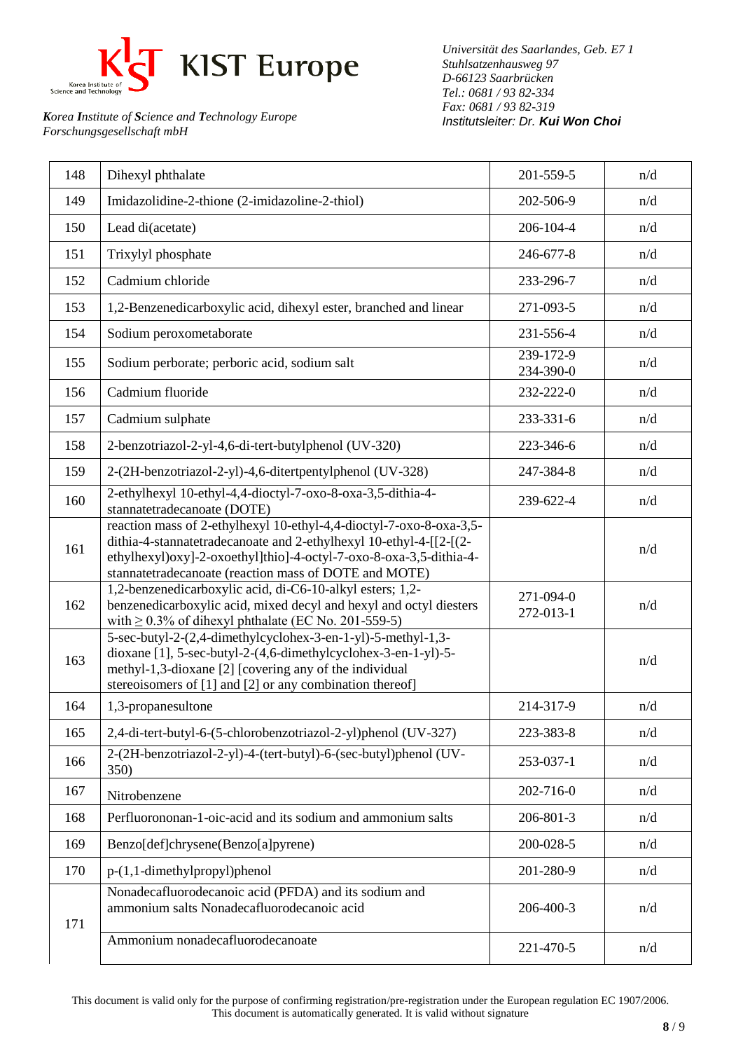

*Universität des Saarlandes, Geb. E7 1 Stuhlsatzenhausweg 97 D-66123 Saarbrücken Tel.: 0681 / 93 82-334 Fax: 0681 / 93 82-319 Institutsleiter: Dr. Kui Won Choi*

| 148 | Dihexyl phthalate                                                                                                                                                                                                                                                        | 201-559-5              | n/d |
|-----|--------------------------------------------------------------------------------------------------------------------------------------------------------------------------------------------------------------------------------------------------------------------------|------------------------|-----|
| 149 | Imidazolidine-2-thione (2-imidazoline-2-thiol)                                                                                                                                                                                                                           | 202-506-9              | n/d |
| 150 | Lead di(acetate)                                                                                                                                                                                                                                                         | 206-104-4              | n/d |
| 151 | Trixylyl phosphate                                                                                                                                                                                                                                                       | 246-677-8              | n/d |
| 152 | Cadmium chloride                                                                                                                                                                                                                                                         | 233-296-7              | n/d |
| 153 | 1,2-Benzenedicarboxylic acid, dihexyl ester, branched and linear                                                                                                                                                                                                         | 271-093-5              | n/d |
| 154 | Sodium peroxometaborate                                                                                                                                                                                                                                                  | 231-556-4              | n/d |
| 155 | Sodium perborate; perboric acid, sodium salt                                                                                                                                                                                                                             | 239-172-9<br>234-390-0 | n/d |
| 156 | Cadmium fluoride                                                                                                                                                                                                                                                         | 232-222-0              | n/d |
| 157 | Cadmium sulphate                                                                                                                                                                                                                                                         | 233-331-6              | n/d |
| 158 | 2-benzotriazol-2-yl-4,6-di-tert-butylphenol (UV-320)                                                                                                                                                                                                                     | 223-346-6              | n/d |
| 159 | 2-(2H-benzotriazol-2-yl)-4,6-ditertpentylphenol (UV-328)                                                                                                                                                                                                                 | 247-384-8              | n/d |
| 160 | 2-ethylhexyl 10-ethyl-4,4-dioctyl-7-oxo-8-oxa-3,5-dithia-4-<br>stannatetradecanoate (DOTE)                                                                                                                                                                               | 239-622-4              | n/d |
| 161 | reaction mass of 2-ethylhexyl 10-ethyl-4,4-dioctyl-7-oxo-8-oxa-3,5-<br>dithia-4-stannatetradecanoate and 2-ethylhexyl 10-ethyl-4-[[2-[(2-<br>ethylhexyl)oxy]-2-oxoethyl]thio]-4-octyl-7-oxo-8-oxa-3,5-dithia-4-<br>stannatetradecanoate (reaction mass of DOTE and MOTE) |                        | n/d |
| 162 | 1,2-benzenedicarboxylic acid, di-C6-10-alkyl esters; 1,2-<br>benzenedicarboxylic acid, mixed decyl and hexyl and octyl diesters<br>with $\geq$ 0.3% of dihexyl phthalate (EC No. 201-559-5)                                                                              | 271-094-0<br>272-013-1 | n/d |
| 163 | 5-sec-butyl-2-(2,4-dimethylcyclohex-3-en-1-yl)-5-methyl-1,3-<br>dioxane [1], 5-sec-butyl-2-(4,6-dimethylcyclohex-3-en-1-yl)-5-<br>methyl-1,3-dioxane [2] [covering any of the individual<br>stereoisomers of [1] and [2] or any combination thereof]                     |                        | n/d |
| 164 | 1,3-propanesultone                                                                                                                                                                                                                                                       | 214-317-9              | n/d |
| 165 | 2,4-di-tert-butyl-6-(5-chlorobenzotriazol-2-yl)phenol (UV-327)                                                                                                                                                                                                           | 223-383-8              | n/d |
| 166 | 2-(2H-benzotriazol-2-yl)-4-(tert-butyl)-6-(sec-butyl)phenol (UV-<br>350)                                                                                                                                                                                                 | 253-037-1              | n/d |
| 167 | Nitrobenzene                                                                                                                                                                                                                                                             | 202-716-0              | n/d |
| 168 | Perfluorononan-1-oic-acid and its sodium and ammonium salts                                                                                                                                                                                                              | 206-801-3              | n/d |
| 169 | Benzo[def]chrysene(Benzo[a]pyrene)                                                                                                                                                                                                                                       | 200-028-5              | n/d |
| 170 | $p-(1,1-dimethylpropyl)$ phenol                                                                                                                                                                                                                                          | 201-280-9              | n/d |
| 171 | Nonadecafluorodecanoic acid (PFDA) and its sodium and<br>ammonium salts Nonadecafluorodecanoic acid                                                                                                                                                                      | 206-400-3              | n/d |
|     | Ammonium nonadecafluorodecanoate                                                                                                                                                                                                                                         | 221-470-5              | n/d |